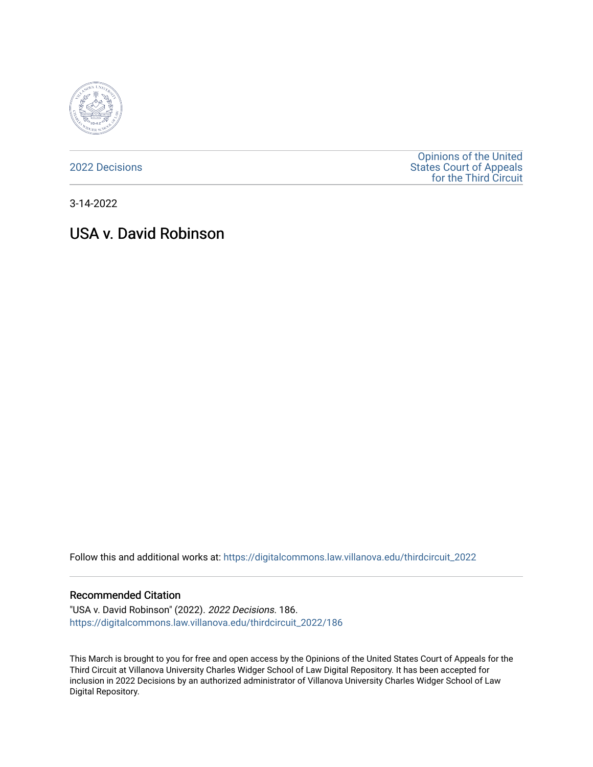

[2022 Decisions](https://digitalcommons.law.villanova.edu/thirdcircuit_2022)

[Opinions of the United](https://digitalcommons.law.villanova.edu/thirdcircuit)  [States Court of Appeals](https://digitalcommons.law.villanova.edu/thirdcircuit)  [for the Third Circuit](https://digitalcommons.law.villanova.edu/thirdcircuit) 

3-14-2022

# USA v. David Robinson

Follow this and additional works at: [https://digitalcommons.law.villanova.edu/thirdcircuit\\_2022](https://digitalcommons.law.villanova.edu/thirdcircuit_2022?utm_source=digitalcommons.law.villanova.edu%2Fthirdcircuit_2022%2F186&utm_medium=PDF&utm_campaign=PDFCoverPages) 

#### Recommended Citation

"USA v. David Robinson" (2022). 2022 Decisions. 186. [https://digitalcommons.law.villanova.edu/thirdcircuit\\_2022/186](https://digitalcommons.law.villanova.edu/thirdcircuit_2022/186?utm_source=digitalcommons.law.villanova.edu%2Fthirdcircuit_2022%2F186&utm_medium=PDF&utm_campaign=PDFCoverPages)

This March is brought to you for free and open access by the Opinions of the United States Court of Appeals for the Third Circuit at Villanova University Charles Widger School of Law Digital Repository. It has been accepted for inclusion in 2022 Decisions by an authorized administrator of Villanova University Charles Widger School of Law Digital Repository.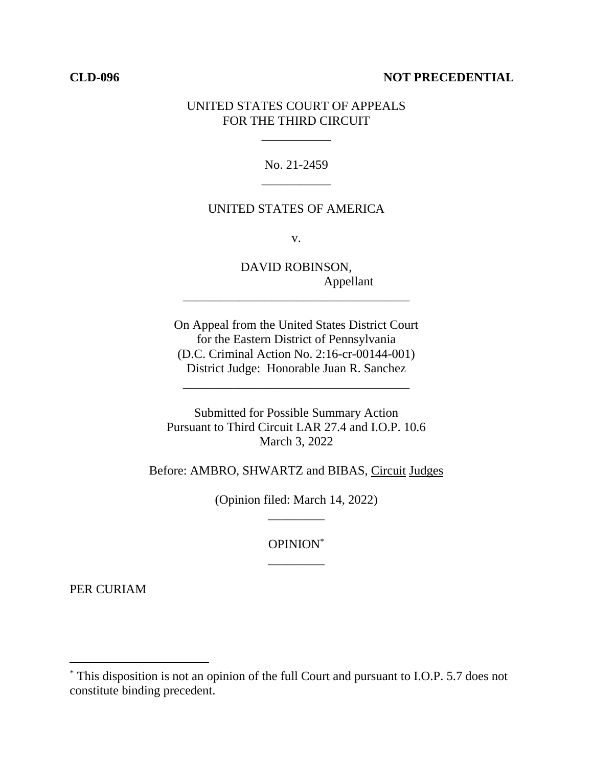## **CLD-096 NOT PRECEDENTIAL**

## UNITED STATES COURT OF APPEALS FOR THE THIRD CIRCUIT

\_\_\_\_\_\_\_\_\_\_\_

No. 21-2459 \_\_\_\_\_\_\_\_\_\_\_

## UNITED STATES OF AMERICA

v.

DAVID ROBINSON, Appellant

On Appeal from the United States District Court for the Eastern District of Pennsylvania (D.C. Criminal Action No. 2:16-cr-00144-001) District Judge: Honorable Juan R. Sanchez

\_\_\_\_\_\_\_\_\_\_\_\_\_\_\_\_\_\_\_\_\_\_\_\_\_\_\_\_\_\_\_\_\_\_\_\_

\_\_\_\_\_\_\_\_\_\_\_\_\_\_\_\_\_\_\_\_\_\_\_\_\_\_\_\_\_\_\_\_\_\_\_\_

Submitted for Possible Summary Action Pursuant to Third Circuit LAR 27.4 and I.O.P. 10.6 March 3, 2022

Before: AMBRO, SHWARTZ and BIBAS, Circuit Judges

(Opinion filed: March 14, 2022) \_\_\_\_\_\_\_\_\_

> OPINION\* \_\_\_\_\_\_\_\_\_

PER CURIAM

<sup>\*</sup> This disposition is not an opinion of the full Court and pursuant to I.O.P. 5.7 does not constitute binding precedent.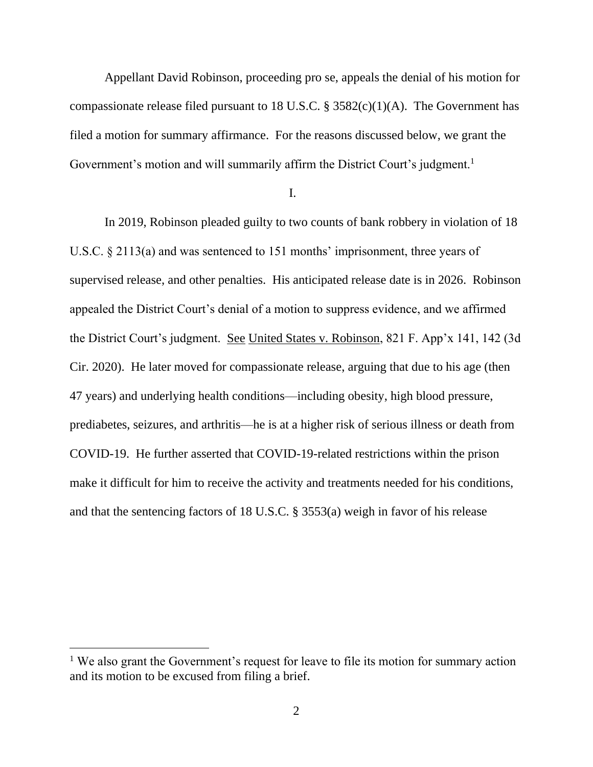Appellant David Robinson, proceeding pro se, appeals the denial of his motion for compassionate release filed pursuant to 18 U.S.C.  $\S$  3582(c)(1)(A). The Government has filed a motion for summary affirmance. For the reasons discussed below, we grant the Government's motion and will summarily affirm the District Court's judgment.<sup>1</sup>

I.

In 2019, Robinson pleaded guilty to two counts of bank robbery in violation of 18 U.S.C. § 2113(a) and was sentenced to 151 months' imprisonment, three years of supervised release, and other penalties. His anticipated release date is in 2026. Robinson appealed the District Court's denial of a motion to suppress evidence, and we affirmed the District Court's judgment. See United States v. Robinson, 821 F. App'x 141, 142 (3d Cir. 2020). He later moved for compassionate release, arguing that due to his age (then 47 years) and underlying health conditions—including obesity, high blood pressure, prediabetes, seizures, and arthritis—he is at a higher risk of serious illness or death from COVID-19. He further asserted that COVID-19-related restrictions within the prison make it difficult for him to receive the activity and treatments needed for his conditions, and that the sentencing factors of 18 U.S.C. § 3553(a) weigh in favor of his release

<sup>&</sup>lt;sup>1</sup> We also grant the Government's request for leave to file its motion for summary action and its motion to be excused from filing a brief.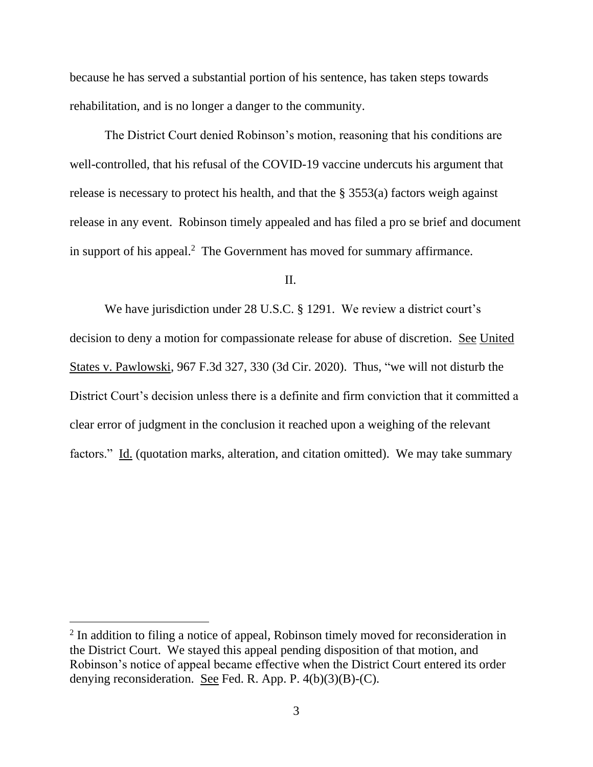because he has served a substantial portion of his sentence, has taken steps towards rehabilitation, and is no longer a danger to the community.

The District Court denied Robinson's motion, reasoning that his conditions are well-controlled, that his refusal of the COVID-19 vaccine undercuts his argument that release is necessary to protect his health, and that the § 3553(a) factors weigh against release in any event. Robinson timely appealed and has filed a pro se brief and document in support of his appeal.<sup>2</sup> The Government has moved for summary affirmance.

### $II$ .

We have jurisdiction under 28 U.S.C. § 1291. We review a district court's decision to deny a motion for compassionate release for abuse of discretion. See United States v. Pawlowski, 967 F.3d 327, 330 (3d Cir. 2020). Thus, "we will not disturb the District Court's decision unless there is a definite and firm conviction that it committed a clear error of judgment in the conclusion it reached upon a weighing of the relevant factors." Id. (quotation marks, alteration, and citation omitted). We may take summary

<sup>&</sup>lt;sup>2</sup> In addition to filing a notice of appeal, Robinson timely moved for reconsideration in the District Court. We stayed this appeal pending disposition of that motion, and Robinson's notice of appeal became effective when the District Court entered its order denying reconsideration. See Fed. R. App. P. 4(b)(3)(B)-(C).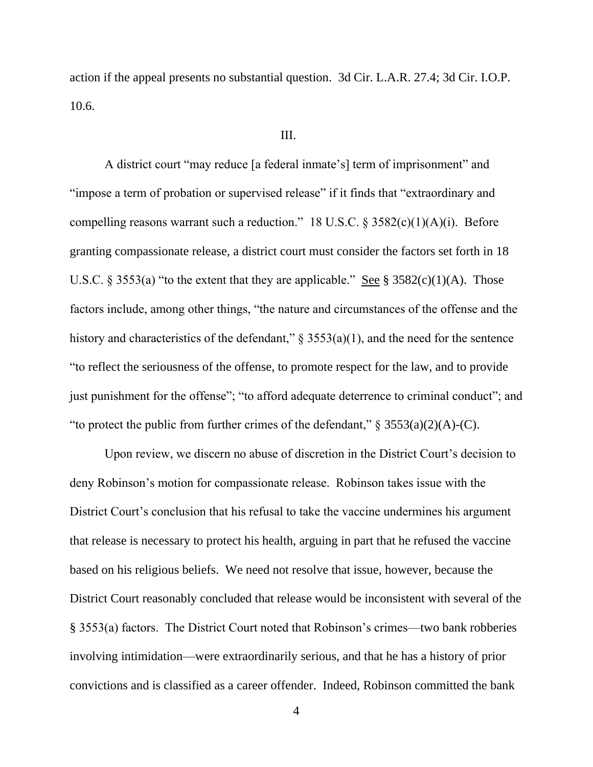action if the appeal presents no substantial question. 3d Cir. L.A.R. 27.4; 3d Cir. I.O.P. 10.6.

#### III.

A district court "may reduce [a federal inmate's] term of imprisonment" and "impose a term of probation or supervised release" if it finds that "extraordinary and compelling reasons warrant such a reduction." 18 U.S.C.  $\S 3582(c)(1)(A)(i)$ . Before granting compassionate release, a district court must consider the factors set forth in 18 U.S.C. § 3553(a) "to the extent that they are applicable." See §  $3582(c)(1)(A)$ . Those factors include, among other things, "the nature and circumstances of the offense and the history and characteristics of the defendant,"  $\S$  3553(a)(1), and the need for the sentence "to reflect the seriousness of the offense, to promote respect for the law, and to provide just punishment for the offense"; "to afford adequate deterrence to criminal conduct"; and "to protect the public from further crimes of the defendant,"  $\S 3553(a)(2)(A)-(C)$ .

Upon review, we discern no abuse of discretion in the District Court's decision to deny Robinson's motion for compassionate release. Robinson takes issue with the District Court's conclusion that his refusal to take the vaccine undermines his argument that release is necessary to protect his health, arguing in part that he refused the vaccine based on his religious beliefs. We need not resolve that issue, however, because the District Court reasonably concluded that release would be inconsistent with several of the § 3553(a) factors. The District Court noted that Robinson's crimes—two bank robberies involving intimidation—were extraordinarily serious, and that he has a history of prior convictions and is classified as a career offender. Indeed, Robinson committed the bank